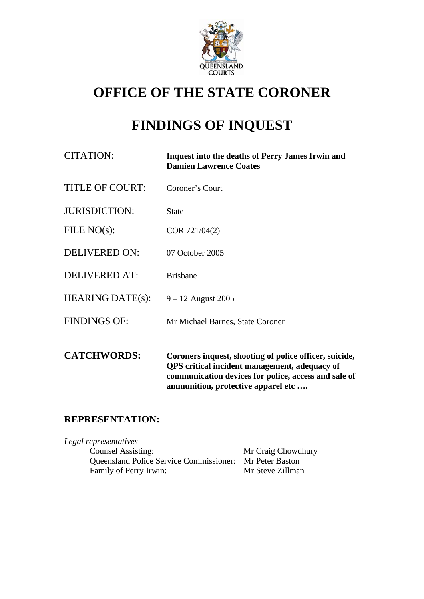

# **OFFICE OF THE STATE CORONER**

# **FINDINGS OF INQUEST**

| CITATION:               | <b>Inquest into the deaths of Perry James Irwin and</b><br><b>Damien Lawrence Coates</b>                       |
|-------------------------|----------------------------------------------------------------------------------------------------------------|
| <b>TITLE OF COURT:</b>  | Coroner's Court                                                                                                |
| <b>JURISDICTION:</b>    | <b>State</b>                                                                                                   |
| FILE $NO(s)$ :          | COR 721/04(2)                                                                                                  |
| DELIVERED ON:           | 07 October 2005                                                                                                |
| <b>DELIVERED AT:</b>    | <b>Brisbane</b>                                                                                                |
| <b>HEARING DATE(s):</b> | $9 - 12$ August 2005                                                                                           |
| <b>FINDINGS OF:</b>     | Mr Michael Barnes, State Coroner                                                                               |
| <b>CATCHWORDS:</b>      | Coroners inquest, shooting of police officer, suicide,<br><b>QPS</b> critical incident management, adequacy of |

**communication devices for police, access and sale of ammunition, protective apparel etc ….** 

## **REPRESENTATION:**

*Legal representatives*  Counsel Assisting: Mr Craig Chowdhury Queensland Police Service Commissioner: Mr Peter Baston Family of Perry Irwin: Mr Steve Zillman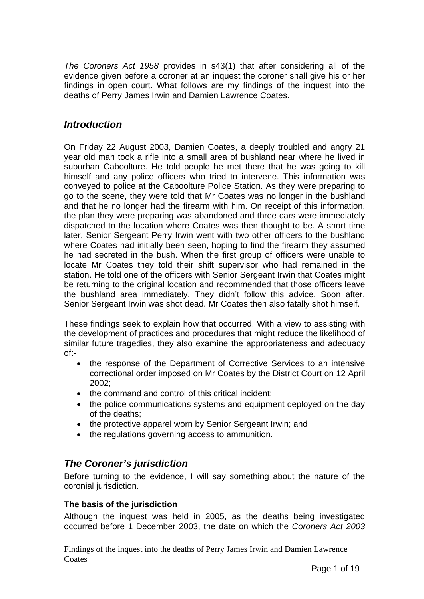*The Coroners Act 1958* provides in s43(1) that after considering all of the evidence given before a coroner at an inquest the coroner shall give his or her findings in open court. What follows are my findings of the inquest into the deaths of Perry James Irwin and Damien Lawrence Coates.

## *Introduction*

On Friday 22 August 2003, Damien Coates, a deeply troubled and angry 21 year old man took a rifle into a small area of bushland near where he lived in suburban Caboolture. He told people he met there that he was going to kill himself and any police officers who tried to intervene. This information was conveyed to police at the Caboolture Police Station. As they were preparing to go to the scene, they were told that Mr Coates was no longer in the bushland and that he no longer had the firearm with him. On receipt of this information, the plan they were preparing was abandoned and three cars were immediately dispatched to the location where Coates was then thought to be. A short time later, Senior Sergeant Perry Irwin went with two other officers to the bushland where Coates had initially been seen, hoping to find the firearm they assumed he had secreted in the bush. When the first group of officers were unable to locate Mr Coates they told their shift supervisor who had remained in the station. He told one of the officers with Senior Sergeant Irwin that Coates might be returning to the original location and recommended that those officers leave the bushland area immediately. They didn't follow this advice. Soon after, Senior Sergeant Irwin was shot dead. Mr Coates then also fatally shot himself.

These findings seek to explain how that occurred. With a view to assisting with the development of practices and procedures that might reduce the likelihood of similar future tragedies, they also examine the appropriateness and adequacy of:-

- the response of the Department of Corrective Services to an intensive correctional order imposed on Mr Coates by the District Court on 12 April 2002;
- the command and control of this critical incident:
- the police communications systems and equipment deployed on the day of the deaths;
- the protective apparel worn by Senior Sergeant Irwin; and
- the regulations governing access to ammunition.

## *The Coroner's jurisdiction*

Before turning to the evidence, I will say something about the nature of the coronial jurisdiction.

#### **The basis of the jurisdiction**

Although the inquest was held in 2005, as the deaths being investigated occurred before 1 December 2003, the date on which the *Coroners Act 2003*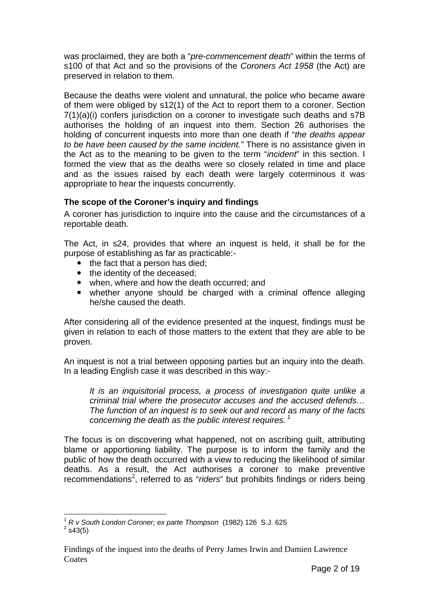was proclaimed, they are both a "*pre-commencement death*" within the terms of s100 of that Act and so the provisions of the *Coroners Act 1958* (the Act) are preserved in relation to them.

Because the deaths were violent and unnatural, the police who became aware of them were obliged by s12(1) of the Act to report them to a coroner. Section 7(1)(a)(i) confers jurisdiction on a coroner to investigate such deaths and s7B authorises the holding of an inquest into them. Section 26 authorises the holding of concurrent inquests into more than one death if "*the deaths appear to be have been caused by the same incident."* There is no assistance given in the Act as to the meaning to be given to the term "*incident*" in this section. I formed the view that as the deaths were so closely related in time and place and as the issues raised by each death were largely coterminous it was appropriate to hear the inquests concurrently.

#### **The scope of the Coroner's inquiry and findings**

A coroner has jurisdiction to inquire into the cause and the circumstances of a reportable death.

The Act, in s24, provides that where an inquest is held, it shall be for the purpose of establishing as far as practicable:-

- $\bullet$  the fact that a person has died:
- the identity of the deceased;
- when, where and how the death occurred; and
- whether anyone should be charged with a criminal offence alleging he/she caused the death.

After considering all of the evidence presented at the inquest, findings must be given in relation to each of those matters to the extent that they are able to be proven.

An inquest is not a trial between opposing parties but an inquiry into the death. In a leading English case it was described in this way:-

*It is an inquisitorial process, a process of investigation quite unlike a criminal trial where the prosecutor accuses and the accused defends… The function of an inquest is to seek out and record as many of the facts concerning the death as the public interest requires.*<sup>1</sup>

The focus is on discovering what happened, not on ascribing guilt, attributing blame or apportioning liability. The purpose is to inform the family and the public of how the death occurred with a view to reducing the likelihood of similar deaths. As a result, the Act authorises a coroner to make preventive recommendations<sup>2</sup>, referred to as "*riders*" but prohibits findings or riders being

l <sup>1</sup> *R v South London Coroner; ex parte Thompson* (1982) 126 S.J. 625 2

 $2$  s43(5)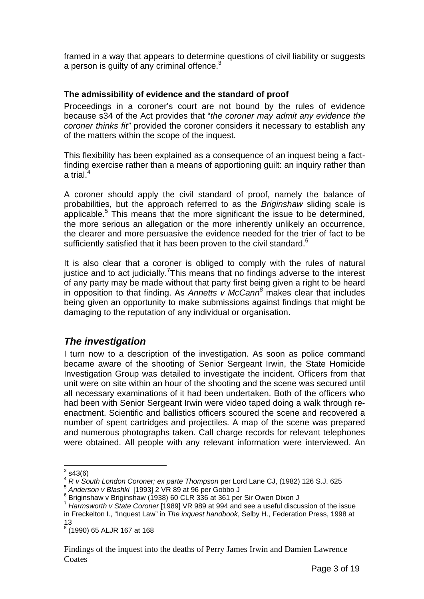framed in a way that appears to determine questions of civil liability or suggests a person is quilty of any criminal offence. $3$ 

#### **The admissibility of evidence and the standard of proof**

Proceedings in a coroner's court are not bound by the rules of evidence because s34 of the Act provides that "*the coroner may admit any evidence the coroner thinks fit"* provided the coroner considers it necessary to establish any of the matters within the scope of the inquest.

This flexibility has been explained as a consequence of an inquest being a factfinding exercise rather than a means of apportioning guilt: an inquiry rather than a trial $<sup>4</sup>$ </sup>

A coroner should apply the civil standard of proof, namely the balance of probabilities, but the approach referred to as the *Briginshaw* sliding scale is applicable.<sup>5</sup> This means that the more significant the issue to be determined, the more serious an allegation or the more inherently unlikely an occurrence, the clearer and more persuasive the evidence needed for the trier of fact to be sufficiently satisfied that it has been proven to the civil standard. $6$ 

It is also clear that a coroner is obliged to comply with the rules of natural justice and to act judicially.<sup>7</sup> This means that no findings adverse to the interest of any party may be made without that party first being given a right to be heard in opposition to that finding. As *Annetts v McCann<sup>8</sup>* makes clear that includes being given an opportunity to make submissions against findings that might be damaging to the reputation of any individual or organisation.

### *The investigation*

I turn now to a description of the investigation. As soon as police command became aware of the shooting of Senior Sergeant Irwin, the State Homicide Investigation Group was detailed to investigate the incident. Officers from that unit were on site within an hour of the shooting and the scene was secured until all necessary examinations of it had been undertaken. Both of the officers who had been with Senior Sergeant Irwin were video taped doing a walk through reenactment. Scientific and ballistics officers scoured the scene and recovered a number of spent cartridges and projectiles. A map of the scene was prepared and numerous photographs taken. Call charge records for relevant telephones were obtained. All people with any relevant information were interviewed. An

 $3\overline{\smash) {{\mathsf{S}}}^{3}$  s43(6)

<sup>4</sup> *R v South London Coroner; ex parte Thompson* per Lord Lane CJ, (1982) 126 S.J. 625

<sup>5</sup> *Anderson v Blashki* [1993] 2 VR 89 at 96 per Gobbo J 6

<sup>&</sup>lt;sup>6</sup> Briginshaw v Briginshaw (1938) 60 CLR 336 at 361 per Sir Owen Dixon J

<sup>7</sup> *Harmsworth v State Coroner* [1989] VR 989 at 994 and see a useful discussion of the issue in Freckelton I., "Inquest Law" in *The inquest handbook*, Selby H., Federation Press, 1998 at 13

<sup>8</sup> (1990) 65 ALJR 167 at 168

Findings of the inquest into the deaths of Perry James Irwin and Damien Lawrence **Coates**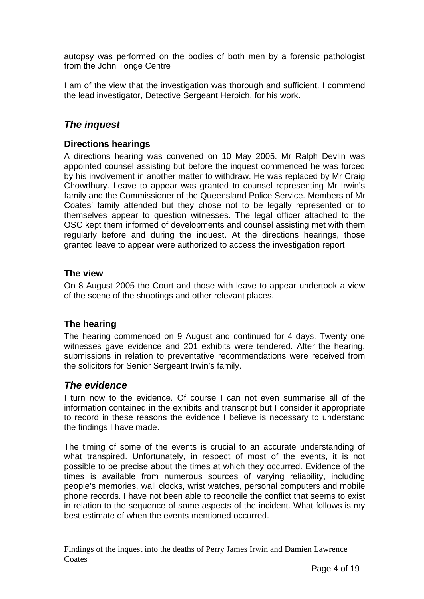autopsy was performed on the bodies of both men by a forensic pathologist from the John Tonge Centre

I am of the view that the investigation was thorough and sufficient. I commend the lead investigator, Detective Sergeant Herpich, for his work.

## *The inquest*

### **Directions hearings**

A directions hearing was convened on 10 May 2005. Mr Ralph Devlin was appointed counsel assisting but before the inquest commenced he was forced by his involvement in another matter to withdraw. He was replaced by Mr Craig Chowdhury. Leave to appear was granted to counsel representing Mr Irwin's family and the Commissioner of the Queensland Police Service. Members of Mr Coates' family attended but they chose not to be legally represented or to themselves appear to question witnesses. The legal officer attached to the OSC kept them informed of developments and counsel assisting met with them regularly before and during the inquest. At the directions hearings, those granted leave to appear were authorized to access the investigation report

#### **The view**

On 8 August 2005 the Court and those with leave to appear undertook a view of the scene of the shootings and other relevant places.

### **The hearing**

The hearing commenced on 9 August and continued for 4 days. Twenty one witnesses gave evidence and 201 exhibits were tendered. After the hearing, submissions in relation to preventative recommendations were received from the solicitors for Senior Sergeant Irwin's family.

### *The evidence*

I turn now to the evidence. Of course I can not even summarise all of the information contained in the exhibits and transcript but I consider it appropriate to record in these reasons the evidence I believe is necessary to understand the findings I have made.

The timing of some of the events is crucial to an accurate understanding of what transpired. Unfortunately, in respect of most of the events, it is not possible to be precise about the times at which they occurred. Evidence of the times is available from numerous sources of varying reliability, including people's memories, wall clocks, wrist watches, personal computers and mobile phone records. I have not been able to reconcile the conflict that seems to exist in relation to the sequence of some aspects of the incident. What follows is my best estimate of when the events mentioned occurred.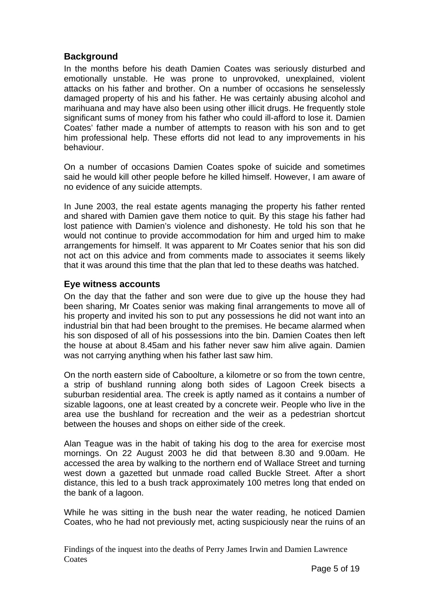## **Background**

In the months before his death Damien Coates was seriously disturbed and emotionally unstable. He was prone to unprovoked, unexplained, violent attacks on his father and brother. On a number of occasions he senselessly damaged property of his and his father. He was certainly abusing alcohol and marihuana and may have also been using other illicit drugs. He frequently stole significant sums of money from his father who could ill-afford to lose it. Damien Coates' father made a number of attempts to reason with his son and to get him professional help. These efforts did not lead to any improvements in his behaviour.

On a number of occasions Damien Coates spoke of suicide and sometimes said he would kill other people before he killed himself. However, I am aware of no evidence of any suicide attempts.

In June 2003, the real estate agents managing the property his father rented and shared with Damien gave them notice to quit. By this stage his father had lost patience with Damien's violence and dishonesty. He told his son that he would not continue to provide accommodation for him and urged him to make arrangements for himself. It was apparent to Mr Coates senior that his son did not act on this advice and from comments made to associates it seems likely that it was around this time that the plan that led to these deaths was hatched.

#### **Eye witness accounts**

On the day that the father and son were due to give up the house they had been sharing, Mr Coates senior was making final arrangements to move all of his property and invited his son to put any possessions he did not want into an industrial bin that had been brought to the premises. He became alarmed when his son disposed of all of his possessions into the bin. Damien Coates then left the house at about 8.45am and his father never saw him alive again. Damien was not carrying anything when his father last saw him.

On the north eastern side of Caboolture, a kilometre or so from the town centre, a strip of bushland running along both sides of Lagoon Creek bisects a suburban residential area. The creek is aptly named as it contains a number of sizable lagoons, one at least created by a concrete weir. People who live in the area use the bushland for recreation and the weir as a pedestrian shortcut between the houses and shops on either side of the creek.

Alan Teague was in the habit of taking his dog to the area for exercise most mornings. On 22 August 2003 he did that between 8.30 and 9.00am. He accessed the area by walking to the northern end of Wallace Street and turning west down a gazetted but unmade road called Buckle Street. After a short distance, this led to a bush track approximately 100 metres long that ended on the bank of a lagoon.

While he was sitting in the bush near the water reading, he noticed Damien Coates, who he had not previously met, acting suspiciously near the ruins of an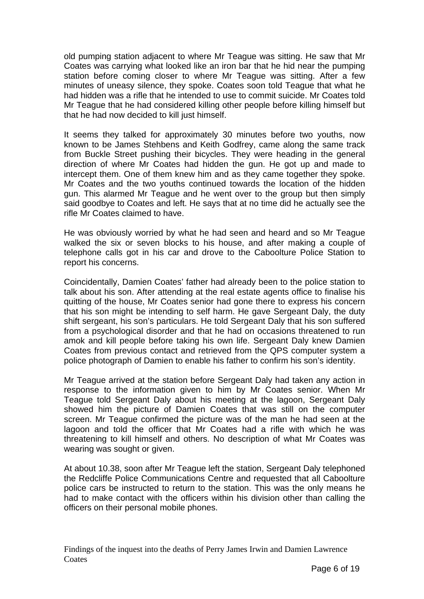old pumping station adjacent to where Mr Teague was sitting. He saw that Mr Coates was carrying what looked like an iron bar that he hid near the pumping station before coming closer to where Mr Teague was sitting. After a few minutes of uneasy silence, they spoke. Coates soon told Teague that what he had hidden was a rifle that he intended to use to commit suicide. Mr Coates told Mr Teague that he had considered killing other people before killing himself but that he had now decided to kill just himself.

It seems they talked for approximately 30 minutes before two youths, now known to be James Stehbens and Keith Godfrey, came along the same track from Buckle Street pushing their bicycles. They were heading in the general direction of where Mr Coates had hidden the gun. He got up and made to intercept them. One of them knew him and as they came together they spoke. Mr Coates and the two youths continued towards the location of the hidden gun. This alarmed Mr Teague and he went over to the group but then simply said goodbye to Coates and left. He says that at no time did he actually see the rifle Mr Coates claimed to have.

He was obviously worried by what he had seen and heard and so Mr Teague walked the six or seven blocks to his house, and after making a couple of telephone calls got in his car and drove to the Caboolture Police Station to report his concerns.

Coincidentally, Damien Coates' father had already been to the police station to talk about his son. After attending at the real estate agents office to finalise his quitting of the house, Mr Coates senior had gone there to express his concern that his son might be intending to self harm. He gave Sergeant Daly, the duty shift sergeant, his son's particulars. He told Sergeant Daly that his son suffered from a psychological disorder and that he had on occasions threatened to run amok and kill people before taking his own life. Sergeant Daly knew Damien Coates from previous contact and retrieved from the QPS computer system a police photograph of Damien to enable his father to confirm his son's identity.

Mr Teague arrived at the station before Sergeant Daly had taken any action in response to the information given to him by Mr Coates senior. When Mr Teague told Sergeant Daly about his meeting at the lagoon, Sergeant Daly showed him the picture of Damien Coates that was still on the computer screen. Mr Teague confirmed the picture was of the man he had seen at the lagoon and told the officer that Mr Coates had a rifle with which he was threatening to kill himself and others. No description of what Mr Coates was wearing was sought or given.

At about 10.38, soon after Mr Teague left the station, Sergeant Daly telephoned the Redcliffe Police Communications Centre and requested that all Caboolture police cars be instructed to return to the station. This was the only means he had to make contact with the officers within his division other than calling the officers on their personal mobile phones.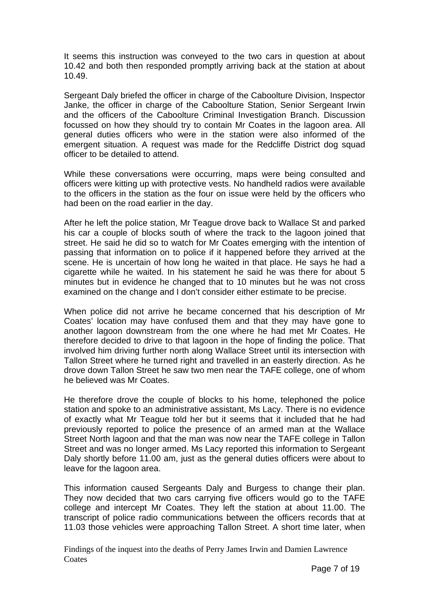It seems this instruction was conveyed to the two cars in question at about 10.42 and both then responded promptly arriving back at the station at about 10.49.

Sergeant Daly briefed the officer in charge of the Caboolture Division, Inspector Janke, the officer in charge of the Caboolture Station, Senior Sergeant Irwin and the officers of the Caboolture Criminal Investigation Branch. Discussion focussed on how they should try to contain Mr Coates in the lagoon area. All general duties officers who were in the station were also informed of the emergent situation. A request was made for the Redcliffe District dog squad officer to be detailed to attend.

While these conversations were occurring, maps were being consulted and officers were kitting up with protective vests. No handheld radios were available to the officers in the station as the four on issue were held by the officers who had been on the road earlier in the day.

After he left the police station, Mr Teague drove back to Wallace St and parked his car a couple of blocks south of where the track to the lagoon joined that street. He said he did so to watch for Mr Coates emerging with the intention of passing that information on to police if it happened before they arrived at the scene. He is uncertain of how long he waited in that place. He says he had a cigarette while he waited. In his statement he said he was there for about 5 minutes but in evidence he changed that to 10 minutes but he was not cross examined on the change and I don't consider either estimate to be precise.

When police did not arrive he became concerned that his description of Mr Coates' location may have confused them and that they may have gone to another lagoon downstream from the one where he had met Mr Coates. He therefore decided to drive to that lagoon in the hope of finding the police. That involved him driving further north along Wallace Street until its intersection with Tallon Street where he turned right and travelled in an easterly direction. As he drove down Tallon Street he saw two men near the TAFE college, one of whom he believed was Mr Coates.

He therefore drove the couple of blocks to his home, telephoned the police station and spoke to an administrative assistant, Ms Lacy. There is no evidence of exactly what Mr Teague told her but it seems that it included that he had previously reported to police the presence of an armed man at the Wallace Street North lagoon and that the man was now near the TAFE college in Tallon Street and was no longer armed. Ms Lacy reported this information to Sergeant Daly shortly before 11.00 am, just as the general duties officers were about to leave for the lagoon area.

This information caused Sergeants Daly and Burgess to change their plan. They now decided that two cars carrying five officers would go to the TAFE college and intercept Mr Coates. They left the station at about 11.00. The transcript of police radio communications between the officers records that at 11.03 those vehicles were approaching Tallon Street. A short time later, when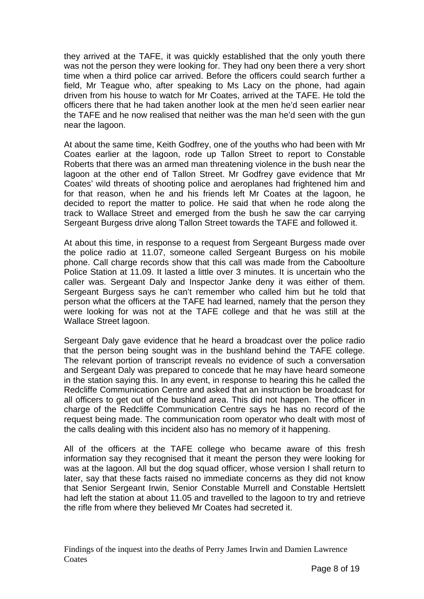they arrived at the TAFE, it was quickly established that the only youth there was not the person they were looking for. They had ony been there a very short time when a third police car arrived. Before the officers could search further a field, Mr Teague who, after speaking to Ms Lacy on the phone, had again driven from his house to watch for Mr Coates, arrived at the TAFE. He told the officers there that he had taken another look at the men he'd seen earlier near the TAFE and he now realised that neither was the man he'd seen with the gun near the lagoon.

At about the same time, Keith Godfrey, one of the youths who had been with Mr Coates earlier at the lagoon, rode up Tallon Street to report to Constable Roberts that there was an armed man threatening violence in the bush near the lagoon at the other end of Tallon Street. Mr Godfrey gave evidence that Mr Coates' wild threats of shooting police and aeroplanes had frightened him and for that reason, when he and his friends left Mr Coates at the lagoon, he decided to report the matter to police. He said that when he rode along the track to Wallace Street and emerged from the bush he saw the car carrying Sergeant Burgess drive along Tallon Street towards the TAFE and followed it.

At about this time, in response to a request from Sergeant Burgess made over the police radio at 11.07, someone called Sergeant Burgess on his mobile phone. Call charge records show that this call was made from the Caboolture Police Station at 11.09. It lasted a little over 3 minutes. It is uncertain who the caller was. Sergeant Daly and Inspector Janke deny it was either of them. Sergeant Burgess says he can't remember who called him but he told that person what the officers at the TAFE had learned, namely that the person they were looking for was not at the TAFE college and that he was still at the Wallace Street lagoon.

Sergeant Daly gave evidence that he heard a broadcast over the police radio that the person being sought was in the bushland behind the TAFE college. The relevant portion of transcript reveals no evidence of such a conversation and Sergeant Daly was prepared to concede that he may have heard someone in the station saying this. In any event, in response to hearing this he called the Redcliffe Communication Centre and asked that an instruction be broadcast for all officers to get out of the bushland area. This did not happen. The officer in charge of the Redcliffe Communication Centre says he has no record of the request being made. The communication room operator who dealt with most of the calls dealing with this incident also has no memory of it happening.

All of the officers at the TAFE college who became aware of this fresh information say they recognised that it meant the person they were looking for was at the lagoon. All but the dog squad officer, whose version I shall return to later, say that these facts raised no immediate concerns as they did not know that Senior Sergeant Irwin, Senior Constable Murrell and Constable Hertslett had left the station at about 11.05 and travelled to the lagoon to try and retrieve the rifle from where they believed Mr Coates had secreted it.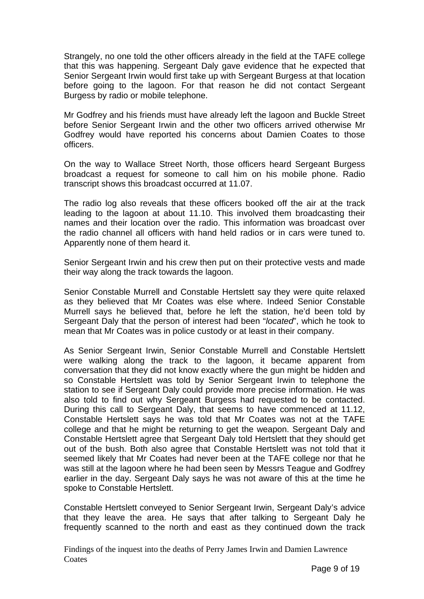Strangely, no one told the other officers already in the field at the TAFE college that this was happening. Sergeant Daly gave evidence that he expected that Senior Sergeant Irwin would first take up with Sergeant Burgess at that location before going to the lagoon. For that reason he did not contact Sergeant Burgess by radio or mobile telephone.

Mr Godfrey and his friends must have already left the lagoon and Buckle Street before Senior Sergeant Irwin and the other two officers arrived otherwise Mr Godfrey would have reported his concerns about Damien Coates to those officers.

On the way to Wallace Street North, those officers heard Sergeant Burgess broadcast a request for someone to call him on his mobile phone. Radio transcript shows this broadcast occurred at 11.07.

The radio log also reveals that these officers booked off the air at the track leading to the lagoon at about 11.10. This involved them broadcasting their names and their location over the radio. This information was broadcast over the radio channel all officers with hand held radios or in cars were tuned to. Apparently none of them heard it.

Senior Sergeant Irwin and his crew then put on their protective vests and made their way along the track towards the lagoon.

Senior Constable Murrell and Constable Hertslett say they were quite relaxed as they believed that Mr Coates was else where. Indeed Senior Constable Murrell says he believed that, before he left the station, he'd been told by Sergeant Daly that the person of interest had been "*located*", which he took to mean that Mr Coates was in police custody or at least in their company.

As Senior Sergeant Irwin, Senior Constable Murrell and Constable Hertslett were walking along the track to the lagoon, it became apparent from conversation that they did not know exactly where the gun might be hidden and so Constable Hertslett was told by Senior Sergeant Irwin to telephone the station to see if Sergeant Daly could provide more precise information. He was also told to find out why Sergeant Burgess had requested to be contacted. During this call to Sergeant Daly, that seems to have commenced at 11.12, Constable Hertslett says he was told that Mr Coates was not at the TAFE college and that he might be returning to get the weapon. Sergeant Daly and Constable Hertslett agree that Sergeant Daly told Hertslett that they should get out of the bush. Both also agree that Constable Hertslett was not told that it seemed likely that Mr Coates had never been at the TAFE college nor that he was still at the lagoon where he had been seen by Messrs Teague and Godfrey earlier in the day. Sergeant Daly says he was not aware of this at the time he spoke to Constable Hertslett.

Constable Hertslett conveyed to Senior Sergeant Irwin, Sergeant Daly's advice that they leave the area. He says that after talking to Sergeant Daly he frequently scanned to the north and east as they continued down the track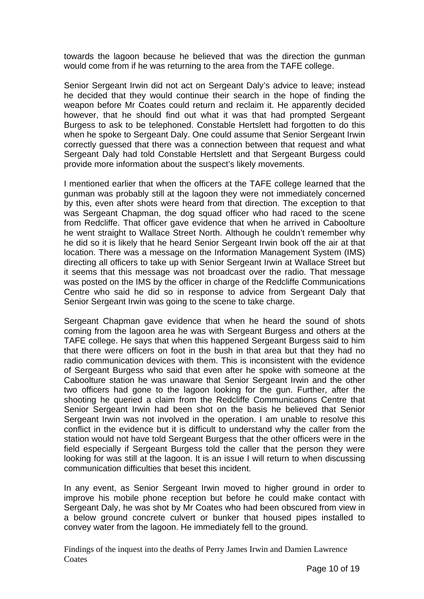towards the lagoon because he believed that was the direction the gunman would come from if he was returning to the area from the TAFE college.

Senior Sergeant Irwin did not act on Sergeant Daly's advice to leave; instead he decided that they would continue their search in the hope of finding the weapon before Mr Coates could return and reclaim it. He apparently decided however, that he should find out what it was that had prompted Sergeant Burgess to ask to be telephoned. Constable Hertslett had forgotten to do this when he spoke to Sergeant Daly. One could assume that Senior Sergeant Irwin correctly guessed that there was a connection between that request and what Sergeant Daly had told Constable Hertslett and that Sergeant Burgess could provide more information about the suspect's likely movements.

I mentioned earlier that when the officers at the TAFE college learned that the gunman was probably still at the lagoon they were not immediately concerned by this, even after shots were heard from that direction. The exception to that was Sergeant Chapman, the dog squad officer who had raced to the scene from Redcliffe. That officer gave evidence that when he arrived in Caboolture he went straight to Wallace Street North. Although he couldn't remember why he did so it is likely that he heard Senior Sergeant Irwin book off the air at that location. There was a message on the Information Management System (IMS) directing all officers to take up with Senior Sergeant Irwin at Wallace Street but it seems that this message was not broadcast over the radio. That message was posted on the IMS by the officer in charge of the Redcliffe Communications Centre who said he did so in response to advice from Sergeant Daly that Senior Sergeant Irwin was going to the scene to take charge.

Sergeant Chapman gave evidence that when he heard the sound of shots coming from the lagoon area he was with Sergeant Burgess and others at the TAFE college. He says that when this happened Sergeant Burgess said to him that there were officers on foot in the bush in that area but that they had no radio communication devices with them. This is inconsistent with the evidence of Sergeant Burgess who said that even after he spoke with someone at the Caboolture station he was unaware that Senior Sergeant Irwin and the other two officers had gone to the lagoon looking for the gun. Further, after the shooting he queried a claim from the Redcliffe Communications Centre that Senior Sergeant Irwin had been shot on the basis he believed that Senior Sergeant Irwin was not involved in the operation. I am unable to resolve this conflict in the evidence but it is difficult to understand why the caller from the station would not have told Sergeant Burgess that the other officers were in the field especially if Sergeant Burgess told the caller that the person they were looking for was still at the lagoon. It is an issue I will return to when discussing communication difficulties that beset this incident.

In any event, as Senior Sergeant Irwin moved to higher ground in order to improve his mobile phone reception but before he could make contact with Sergeant Daly, he was shot by Mr Coates who had been obscured from view in a below ground concrete culvert or bunker that housed pipes installed to convey water from the lagoon. He immediately fell to the ground.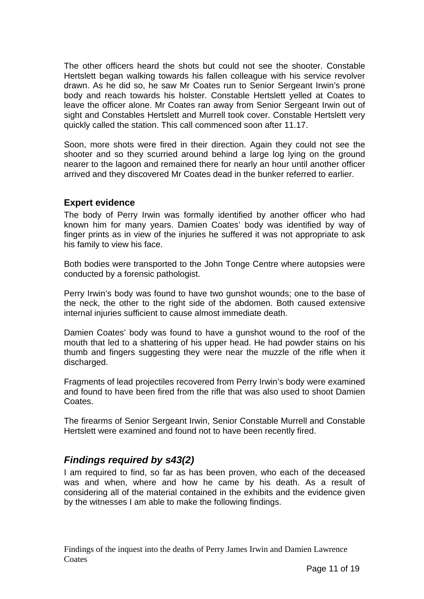The other officers heard the shots but could not see the shooter. Constable Hertslett began walking towards his fallen colleague with his service revolver drawn. As he did so, he saw Mr Coates run to Senior Sergeant Irwin's prone body and reach towards his holster. Constable Hertslett yelled at Coates to leave the officer alone. Mr Coates ran away from Senior Sergeant Irwin out of sight and Constables Hertslett and Murrell took cover. Constable Hertslett very quickly called the station. This call commenced soon after 11.17.

Soon, more shots were fired in their direction. Again they could not see the shooter and so they scurried around behind a large log lying on the ground nearer to the lagoon and remained there for nearly an hour until another officer arrived and they discovered Mr Coates dead in the bunker referred to earlier.

#### **Expert evidence**

The body of Perry Irwin was formally identified by another officer who had known him for many years. Damien Coates' body was identified by way of finger prints as in view of the injuries he suffered it was not appropriate to ask his family to view his face.

Both bodies were transported to the John Tonge Centre where autopsies were conducted by a forensic pathologist.

Perry Irwin's body was found to have two gunshot wounds; one to the base of the neck, the other to the right side of the abdomen. Both caused extensive internal injuries sufficient to cause almost immediate death.

Damien Coates' body was found to have a gunshot wound to the roof of the mouth that led to a shattering of his upper head. He had powder stains on his thumb and fingers suggesting they were near the muzzle of the rifle when it discharged.

Fragments of lead projectiles recovered from Perry Irwin's body were examined and found to have been fired from the rifle that was also used to shoot Damien Coates.

The firearms of Senior Sergeant Irwin, Senior Constable Murrell and Constable Hertslett were examined and found not to have been recently fired.

## *Findings required by s43(2)*

I am required to find, so far as has been proven, who each of the deceased was and when, where and how he came by his death. As a result of considering all of the material contained in the exhibits and the evidence given by the witnesses I am able to make the following findings.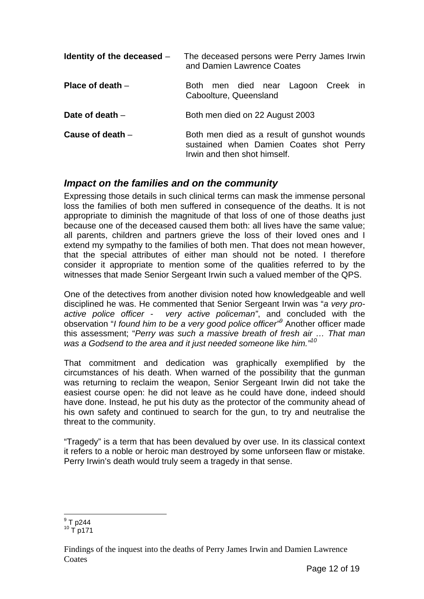| Identity of the deceased $-$ | The deceased persons were Perry James Irwin<br>and Damien Lawrence Coates                                              |
|------------------------------|------------------------------------------------------------------------------------------------------------------------|
| Place of death $-$           | Both men died near Lagoon Creek in<br>Caboolture, Queensland                                                           |
| Date of death $-$            | Both men died on 22 August 2003                                                                                        |
| Cause of death $-$           | Both men died as a result of gunshot wounds<br>sustained when Damien Coates shot Perry<br>Irwin and then shot himself. |

## *Impact on the families and on the community*

Expressing those details in such clinical terms can mask the immense personal loss the families of both men suffered in consequence of the deaths. It is not appropriate to diminish the magnitude of that loss of one of those deaths just because one of the deceased caused them both: all lives have the same value; all parents, children and partners grieve the loss of their loved ones and I extend my sympathy to the families of both men. That does not mean however, that the special attributes of either man should not be noted. I therefore consider it appropriate to mention some of the qualities referred to by the witnesses that made Senior Sergeant Irwin such a valued member of the QPS.

One of the detectives from another division noted how knowledgeable and well disciplined he was. He commented that Senior Sergeant Irwin was "*a very proactive police officer - very active policeman"*, and concluded with the observation "*I found him to be a very good police officer"9* Another officer made this assessment; "*Perry was such a massive breath of fresh air … That man was a Godsend to the area and it just needed someone like him."<sup>10</sup>*

That commitment and dedication was graphically exemplified by the circumstances of his death. When warned of the possibility that the gunman was returning to reclaim the weapon, Senior Sergeant Irwin did not take the easiest course open: he did not leave as he could have done, indeed should have done. Instead, he put his duty as the protector of the community ahead of his own safety and continued to search for the gun, to try and neutralise the threat to the community.

"Tragedy" is a term that has been devalued by over use. In its classical context it refers to a noble or heroic man destroyed by some unforseen flaw or mistake. Perry Irwin's death would truly seem a tragedy in that sense.

 $\frac{1}{9}$  T p244

 $10$  T p171

Findings of the inquest into the deaths of Perry James Irwin and Damien Lawrence **Coates**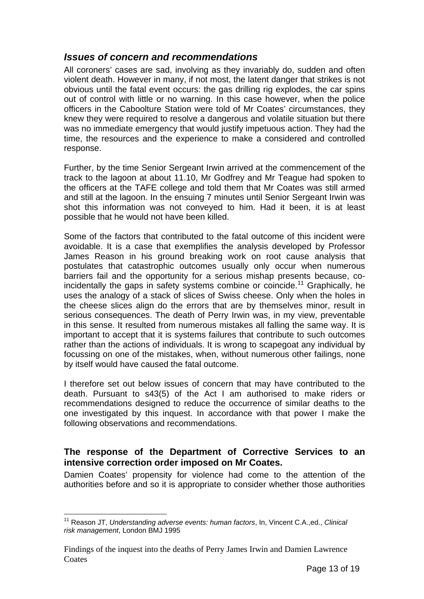## *Issues of concern and recommendations*

All coroners' cases are sad, involving as they invariably do, sudden and often violent death. However in many, if not most, the latent danger that strikes is not obvious until the fatal event occurs: the gas drilling rig explodes, the car spins out of control with little or no warning. In this case however, when the police officers in the Caboolture Station were told of Mr Coates' circumstances, they knew they were required to resolve a dangerous and volatile situation but there was no immediate emergency that would justify impetuous action. They had the time, the resources and the experience to make a considered and controlled response.

Further, by the time Senior Sergeant Irwin arrived at the commencement of the track to the lagoon at about 11.10, Mr Godfrey and Mr Teague had spoken to the officers at the TAFE college and told them that Mr Coates was still armed and still at the lagoon. In the ensuing 7 minutes until Senior Sergeant Irwin was shot this information was not conveyed to him. Had it been, it is at least possible that he would not have been killed.

Some of the factors that contributed to the fatal outcome of this incident were avoidable. It is a case that exemplifies the analysis developed by Professor James Reason in his ground breaking work on root cause analysis that postulates that catastrophic outcomes usually only occur when numerous barriers fail and the opportunity for a serious mishap presents because, coincidentally the gaps in safety systems combine or coincide.<sup>11</sup> Graphically, he uses the analogy of a stack of slices of Swiss cheese. Only when the holes in the cheese slices align do the errors that are by themselves minor, result in serious consequences. The death of Perry Irwin was, in my view, preventable in this sense. It resulted from numerous mistakes all falling the same way. It is important to accept that it is systems failures that contribute to such outcomes rather than the actions of individuals. It is wrong to scapegoat any individual by focussing on one of the mistakes, when, without numerous other failings, none by itself would have caused the fatal outcome.

I therefore set out below issues of concern that may have contributed to the death. Pursuant to s43(5) of the Act I am authorised to make riders or recommendations designed to reduce the occurrence of similar deaths to the one investigated by this inquest. In accordance with that power I make the following observations and recommendations.

#### **The response of the Department of Corrective Services to an intensive correction order imposed on Mr Coates.**

Damien Coates' propensity for violence had come to the attention of the authorities before and so it is appropriate to consider whether those authorities

l

<sup>11</sup> Reason JT, *Understanding adverse events: human factors*, In, Vincent C.A.,ed., *Clinical risk management*, London BMJ 1995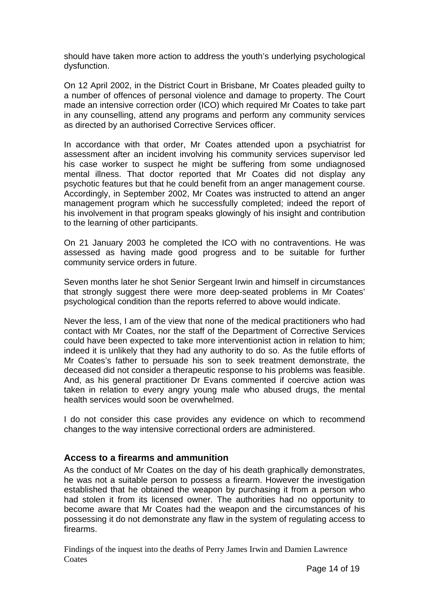should have taken more action to address the youth's underlying psychological dysfunction.

On 12 April 2002, in the District Court in Brisbane, Mr Coates pleaded guilty to a number of offences of personal violence and damage to property. The Court made an intensive correction order (ICO) which required Mr Coates to take part in any counselling, attend any programs and perform any community services as directed by an authorised Corrective Services officer.

In accordance with that order, Mr Coates attended upon a psychiatrist for assessment after an incident involving his community services supervisor led his case worker to suspect he might be suffering from some undiagnosed mental illness. That doctor reported that Mr Coates did not display any psychotic features but that he could benefit from an anger management course. Accordingly, in September 2002, Mr Coates was instructed to attend an anger management program which he successfully completed; indeed the report of his involvement in that program speaks glowingly of his insight and contribution to the learning of other participants.

On 21 January 2003 he completed the ICO with no contraventions. He was assessed as having made good progress and to be suitable for further community service orders in future.

Seven months later he shot Senior Sergeant Irwin and himself in circumstances that strongly suggest there were more deep-seated problems in Mr Coates' psychological condition than the reports referred to above would indicate.

Never the less, I am of the view that none of the medical practitioners who had contact with Mr Coates, nor the staff of the Department of Corrective Services could have been expected to take more interventionist action in relation to him; indeed it is unlikely that they had any authority to do so. As the futile efforts of Mr Coates's father to persuade his son to seek treatment demonstrate, the deceased did not consider a therapeutic response to his problems was feasible. And, as his general practitioner Dr Evans commented if coercive action was taken in relation to every angry young male who abused drugs, the mental health services would soon be overwhelmed.

I do not consider this case provides any evidence on which to recommend changes to the way intensive correctional orders are administered.

#### **Access to a firearms and ammunition**

As the conduct of Mr Coates on the day of his death graphically demonstrates, he was not a suitable person to possess a firearm. However the investigation established that he obtained the weapon by purchasing it from a person who had stolen it from its licensed owner. The authorities had no opportunity to become aware that Mr Coates had the weapon and the circumstances of his possessing it do not demonstrate any flaw in the system of regulating access to firearms.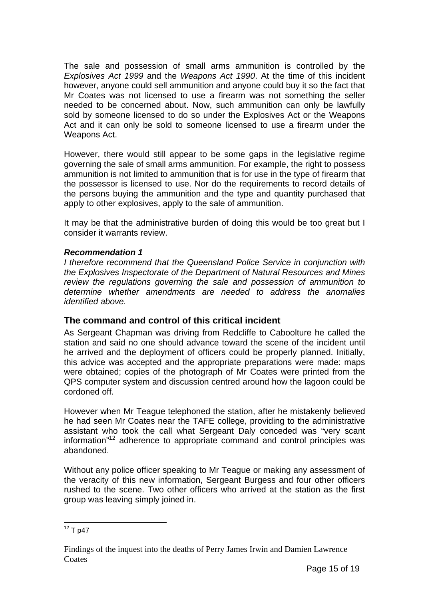The sale and possession of small arms ammunition is controlled by the *Explosives Act 1999* and the *Weapons Act 1990*. At the time of this incident however, anyone could sell ammunition and anyone could buy it so the fact that Mr Coates was not licensed to use a firearm was not something the seller needed to be concerned about. Now, such ammunition can only be lawfully sold by someone licensed to do so under the Explosives Act or the Weapons Act and it can only be sold to someone licensed to use a firearm under the Weapons Act.

However, there would still appear to be some gaps in the legislative regime governing the sale of small arms ammunition. For example, the right to possess ammunition is not limited to ammunition that is for use in the type of firearm that the possessor is licensed to use. Nor do the requirements to record details of the persons buying the ammunition and the type and quantity purchased that apply to other explosives, apply to the sale of ammunition.

It may be that the administrative burden of doing this would be too great but I consider it warrants review.

#### *Recommendation 1*

*I therefore recommend that the Queensland Police Service in conjunction with the Explosives Inspectorate of the Department of Natural Resources and Mines review the regulations governing the sale and possession of ammunition to determine whether amendments are needed to address the anomalies identified above.* 

#### **The command and control of this critical incident**

As Sergeant Chapman was driving from Redcliffe to Caboolture he called the station and said no one should advance toward the scene of the incident until he arrived and the deployment of officers could be properly planned. Initially, this advice was accepted and the appropriate preparations were made: maps were obtained; copies of the photograph of Mr Coates were printed from the QPS computer system and discussion centred around how the lagoon could be cordoned off.

However when Mr Teague telephoned the station, after he mistakenly believed he had seen Mr Coates near the TAFE college, providing to the administrative assistant who took the call what Sergeant Daly conceded was "very scant information"12 adherence to appropriate command and control principles was abandoned.

Without any police officer speaking to Mr Teague or making any assessment of the veracity of this new information, Sergeant Burgess and four other officers rushed to the scene. Two other officers who arrived at the station as the first group was leaving simply joined in.

l  $12$  T p47

Findings of the inquest into the deaths of Perry James Irwin and Damien Lawrence **Coates**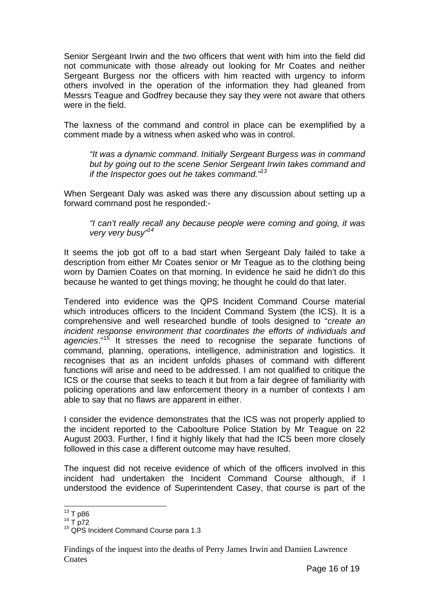Senior Sergeant Irwin and the two officers that went with him into the field did not communicate with those already out looking for Mr Coates and neither Sergeant Burgess nor the officers with him reacted with urgency to inform others involved in the operation of the information they had gleaned from Messrs Teague and Godfrey because they say they were not aware that others were in the field.

The laxness of the command and control in place can be exemplified by a comment made by a witness when asked who was in control.

*"It was a dynamic command. Initially Sergeant Burgess was in command but by going out to the scene Senior Sergeant Irwin takes command and if the Inspector goes out he takes command."13*

When Sergeant Daly was asked was there any discussion about setting up a forward command post he responded:-

*"I can't really recall any because people were coming and going, it was very very busy"14* 

It seems the job got off to a bad start when Sergeant Daly failed to take a description from either Mr Coates senior or Mr Teague as to the clothing being worn by Damien Coates on that morning. In evidence he said he didn't do this because he wanted to get things moving; he thought he could do that later.

Tendered into evidence was the QPS Incident Command Course material which introduces officers to the Incident Command System (the ICS). It is a comprehensive and well researched bundle of tools designed to "*create an incident response environment that coordinates the efforts of individuals and agencies*."15 It stresses the need to recognise the separate functions of command, planning, operations, intelligence, administration and logistics. It recognises that as an incident unfolds phases of command with different functions will arise and need to be addressed. I am not qualified to critique the ICS or the course that seeks to teach it but from a fair degree of familiarity with policing operations and law enforcement theory in a number of contexts I am able to say that no flaws are apparent in either.

I consider the evidence demonstrates that the ICS was not properly applied to the incident reported to the Caboolture Police Station by Mr Teague on 22 August 2003. Further, I find it highly likely that had the ICS been more closely followed in this case a different outcome may have resulted.

The inquest did not receive evidence of which of the officers involved in this incident had undertaken the Incident Command Course although, if I understood the evidence of Superintendent Casey, that course is part of the

 $^{13}_{14}$  T p86<br> $^{14}$  T p72

 $15$  QPS Incident Command Course para 1.3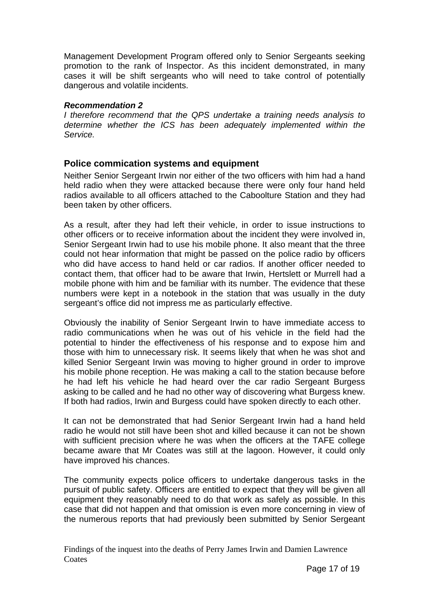Management Development Program offered only to Senior Sergeants seeking promotion to the rank of Inspector. As this incident demonstrated, in many cases it will be shift sergeants who will need to take control of potentially dangerous and volatile incidents.

#### *Recommendation 2*

*I therefore recommend that the QPS undertake a training needs analysis to determine whether the ICS has been adequately implemented within the Service.* 

#### **Police commication systems and equipment**

Neither Senior Sergeant Irwin nor either of the two officers with him had a hand held radio when they were attacked because there were only four hand held radios available to all officers attached to the Caboolture Station and they had been taken by other officers.

As a result, after they had left their vehicle, in order to issue instructions to other officers or to receive information about the incident they were involved in, Senior Sergeant Irwin had to use his mobile phone. It also meant that the three could not hear information that might be passed on the police radio by officers who did have access to hand held or car radios. If another officer needed to contact them, that officer had to be aware that Irwin, Hertslett or Murrell had a mobile phone with him and be familiar with its number. The evidence that these numbers were kept in a notebook in the station that was usually in the duty sergeant's office did not impress me as particularly effective.

Obviously the inability of Senior Sergeant Irwin to have immediate access to radio communications when he was out of his vehicle in the field had the potential to hinder the effectiveness of his response and to expose him and those with him to unnecessary risk. It seems likely that when he was shot and killed Senior Sergeant Irwin was moving to higher ground in order to improve his mobile phone reception. He was making a call to the station because before he had left his vehicle he had heard over the car radio Sergeant Burgess asking to be called and he had no other way of discovering what Burgess knew. If both had radios, Irwin and Burgess could have spoken directly to each other.

It can not be demonstrated that had Senior Sergeant Irwin had a hand held radio he would not still have been shot and killed because it can not be shown with sufficient precision where he was when the officers at the TAFE college became aware that Mr Coates was still at the lagoon. However, it could only have improved his chances.

The community expects police officers to undertake dangerous tasks in the pursuit of public safety. Officers are entitled to expect that they will be given all equipment they reasonably need to do that work as safely as possible. In this case that did not happen and that omission is even more concerning in view of the numerous reports that had previously been submitted by Senior Sergeant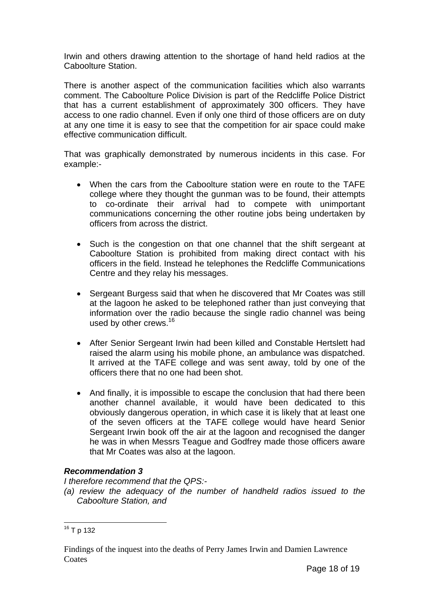Irwin and others drawing attention to the shortage of hand held radios at the Caboolture Station.

There is another aspect of the communication facilities which also warrants comment. The Caboolture Police Division is part of the Redcliffe Police District that has a current establishment of approximately 300 officers. They have access to one radio channel. Even if only one third of those officers are on duty at any one time it is easy to see that the competition for air space could make effective communication difficult.

That was graphically demonstrated by numerous incidents in this case. For example:-

- When the cars from the Caboolture station were en route to the TAFE college where they thought the gunman was to be found, their attempts to co-ordinate their arrival had to compete with unimportant communications concerning the other routine jobs being undertaken by officers from across the district.
- Such is the congestion on that one channel that the shift sergeant at Caboolture Station is prohibited from making direct contact with his officers in the field. Instead he telephones the Redcliffe Communications Centre and they relay his messages.
- Sergeant Burgess said that when he discovered that Mr Coates was still at the lagoon he asked to be telephoned rather than just conveying that information over the radio because the single radio channel was being used by other crews.<sup>16</sup>
- After Senior Sergeant Irwin had been killed and Constable Hertslett had raised the alarm using his mobile phone, an ambulance was dispatched. It arrived at the TAFE college and was sent away, told by one of the officers there that no one had been shot.
- And finally, it is impossible to escape the conclusion that had there been another channel available, it would have been dedicated to this obviously dangerous operation, in which case it is likely that at least one of the seven officers at the TAFE college would have heard Senior Sergeant Irwin book off the air at the lagoon and recognised the danger he was in when Messrs Teague and Godfrey made those officers aware that Mr Coates was also at the lagoon.

#### *Recommendation 3*

*I therefore recommend that the QPS:-* 

*(a) review the adequacy of the number of handheld radios issued to the Caboolture Station, and* 

l  $16$  T p 132

Findings of the inquest into the deaths of Perry James Irwin and Damien Lawrence **Coates**